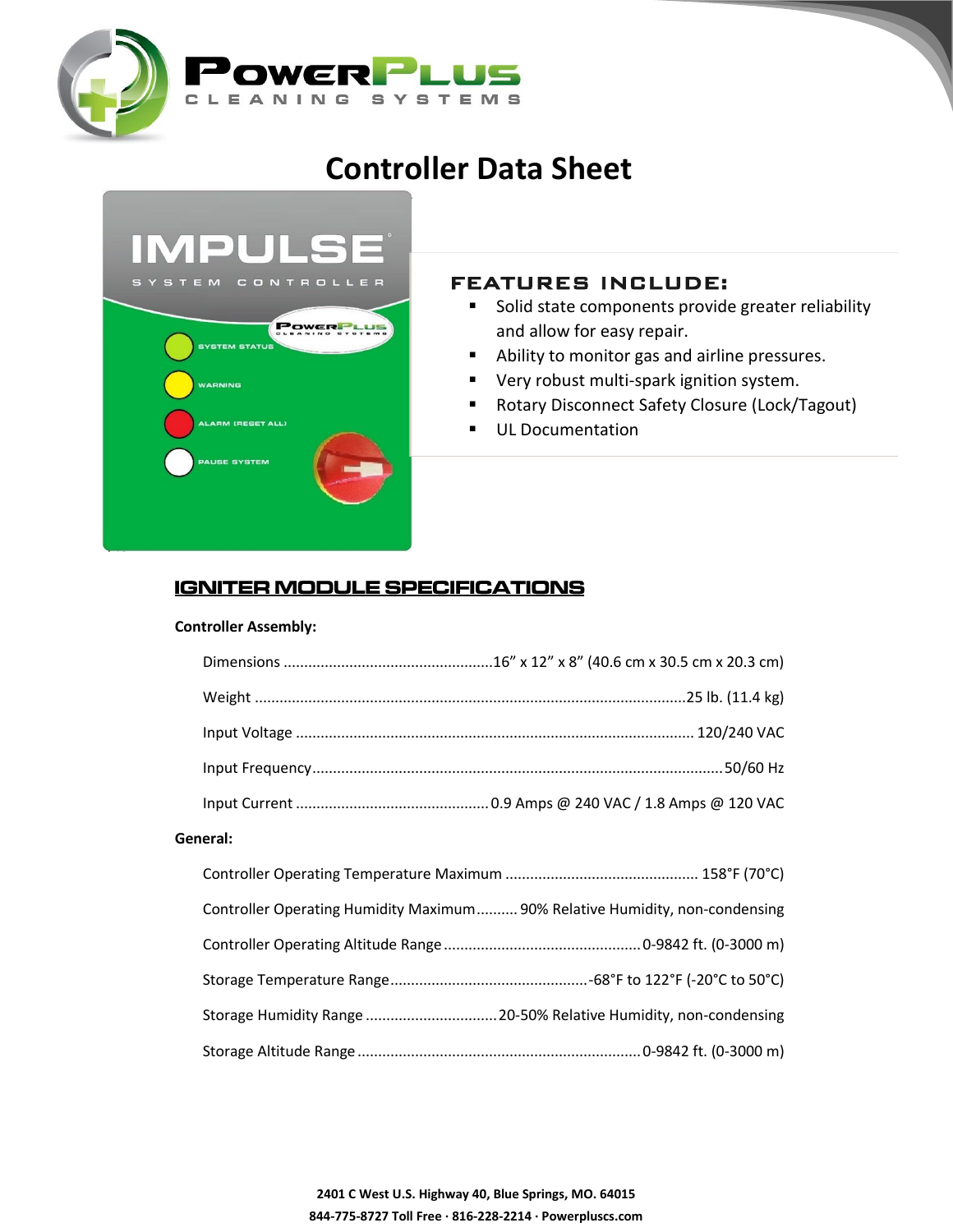

# **Controller Data Sheet**



## FEATURES INCLUDE:

- **Solid state components provide greater reliability** and allow for easy repair.
- Ability to monitor gas and airline pressures.
- **•** Very robust multi-spark ignition system.
- Rotary Disconnect Safety Closure (Lock/Tagout)

Remote diagnostic capability (optional for additional

**UL Documentation** 

## **IGNITER MODULE SPECIFICATIONS**

#### **Controller Assembly:**

| General: |                                                                             |
|----------|-----------------------------------------------------------------------------|
|          |                                                                             |
|          | Controller Operating Humidity Maximum 90% Relative Humidity, non-condensing |
|          |                                                                             |
|          |                                                                             |
|          | Storage Humidity Range  20-50% Relative Humidity, non-condensing            |
|          |                                                                             |